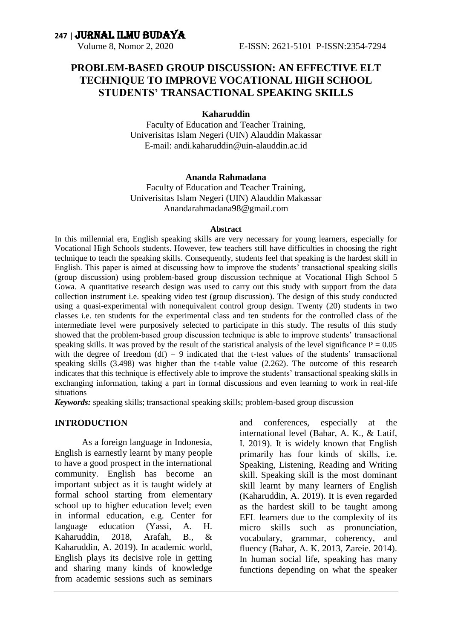### **PROBLEM-BASED GROUP DISCUSSION: AN EFFECTIVE ELT TECHNIQUE TO IMPROVE VOCATIONAL HIGH SCHOOL STUDENTS' TRANSACTIONAL SPEAKING SKILLS**

#### **Kaharuddin**

Faculty of Education and Teacher Training, Univerisitas Islam Negeri (UIN) Alauddin Makassar E-mail: andi.kaharuddin@uin-alauddin.ac.id

#### **Ananda Rahmadana**

Faculty of Education and Teacher Training, Univerisitas Islam Negeri (UIN) Alauddin Makassar Anandarahmadana98@gmail.com

#### **Abstract**

In this millennial era, English speaking skills are very necessary for young learners, especially for Vocational High Schools students. However, few teachers still have difficulties in choosing the right technique to teach the speaking skills. Consequently, students feel that speaking is the hardest skill in English. This paper is aimed at discussing how to improve the students' transactional speaking skills (group discussion) using problem-based group discussion technique at Vocational High School 5 Gowa. A quantitative research design was used to carry out this study with support from the data collection instrument i.e. speaking video test (group discussion). The design of this study conducted using a quasi-experimental with nonequivalent control group design. Twenty (20) students in two classes i.e. ten students for the experimental class and ten students for the controlled class of the intermediate level were purposively selected to participate in this study. The results of this study showed that the problem-based group discussion technique is able to improve students' transactional speaking skills. It was proved by the result of the statistical analysis of the level significance  $P = 0.05$ with the degree of freedom  $(df) = 9$  indicated that the t-test values of the students' transactional speaking skills (3.498) was higher than the t-table value (2.262). The outcome of this research indicates that this technique is effectively able to improve the students' transactional speaking skills in exchanging information, taking a part in formal discussions and even learning to work in real-life situations

*Keywords:* speaking skills; transactional speaking skills; problem-based group discussion

#### **INTRODUCTION**

As a foreign language in Indonesia, English is earnestly learnt by many people to have a good prospect in the international community. English has become an important subject as it is taught widely at formal school starting from elementary school up to higher education level; even in informal education, e.g. Center for language education (Yassi, A. H. Kaharuddin, 2018, Arafah, B., & Kaharuddin, A. 2019). In academic world, English plays its decisive role in getting and sharing many kinds of knowledge from academic sessions such as seminars

and conferences, especially at the international level (Bahar, A. K., & Latif, I. 2019). It is widely known that English primarily has four kinds of skills, i.e. Speaking, Listening, Reading and Writing skill. Speaking skill is the most dominant skill learnt by many learners of English (Kaharuddin, A. 2019). It is even regarded as the hardest skill to be taught among EFL learners due to the complexity of its micro skills such as pronunciation, vocabulary, grammar, coherency, and fluency (Bahar, A. K. 2013, Zareie. 2014). In human social life, speaking has many functions depending on what the speaker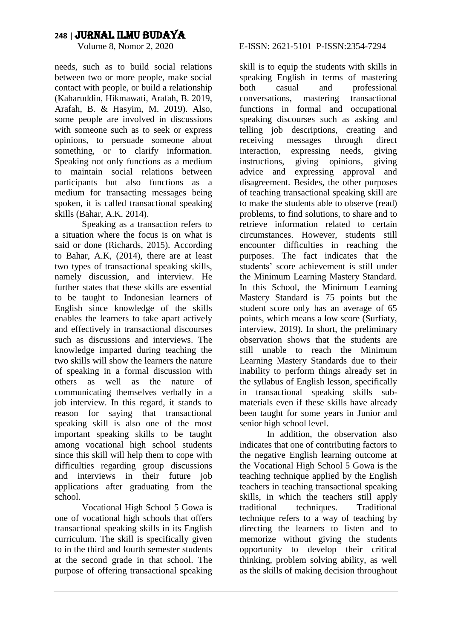needs, such as to build social relations between two or more people, make social contact with people, or build a relationship (Kaharuddin, Hikmawati, Arafah, B. 2019, Arafah, B. & Hasyim, M. 2019). Also, some people are involved in discussions with someone such as to seek or express opinions, to persuade someone about something, or to clarify information. Speaking not only functions as a medium to maintain social relations between participants but also functions as a medium for transacting messages being spoken, it is called transactional speaking skills (Bahar, A.K. 2014).

Speaking as a transaction refers to a situation where the focus is on what is said or done (Richards, 2015). According to Bahar, A.K, (2014), there are at least two types of transactional speaking skills, namely discussion, and interview. He further states that these skills are essential to be taught to Indonesian learners of English since knowledge of the skills enables the learners to take apart actively and effectively in transactional discourses such as discussions and interviews. The knowledge imparted during teaching the two skills will show the learners the nature of speaking in a formal discussion with others as well as the nature of communicating themselves verbally in a job interview. In this regard, it stands to reason for saying that transactional speaking skill is also one of the most important speaking skills to be taught among vocational high school students since this skill will help them to cope with difficulties regarding group discussions and interviews in their future job applications after graduating from the school.

Vocational High School 5 Gowa is one of vocational high schools that offers transactional speaking skills in its English curriculum. The skill is specifically given to in the third and fourth semester students at the second grade in that school. The purpose of offering transactional speaking

#### E-ISSN: 2621-5101 P-ISSN: 2354-7294

skill is to equip the students with skills in speaking English in terms of mastering both casual and professional conversations, mastering transactional functions in formal and occupational speaking discourses such as asking and telling job descriptions, creating and receiving messages through direct interaction, expressing needs, giving instructions, giving opinions, giving advice and expressing approval and disagreement. Besides, the other purposes of teaching transactional speaking skill are to make the students able to observe (read) problems, to find solutions, to share and to retrieve information related to certain circumstances. However, students still encounter difficulties in reaching the purposes. The fact indicates that the students' score achievement is still under the Minimum Learning Mastery Standard. In this School, the Minimum Learning Mastery Standard is 75 points but the student score only has an average of 65 points, which means a low score (Surfiaty, interview, 2019). In short, the preliminary observation shows that the students are still unable to reach the Minimum Learning Mastery Standards due to their inability to perform things already set in the syllabus of English lesson, specifically in transactional speaking skills submaterials even if these skills have already been taught for some years in Junior and senior high school level.

In addition, the observation also indicates that one of contributing factors to the negative English learning outcome at the Vocational High School 5 Gowa is the teaching technique applied by the English teachers in teaching transactional speaking skills, in which the teachers still apply traditional techniques. Traditional technique refers to a way of teaching by directing the learners to listen and to memorize without giving the students opportunity to develop their critical thinking, problem solving ability, as well as the skills of making decision throughout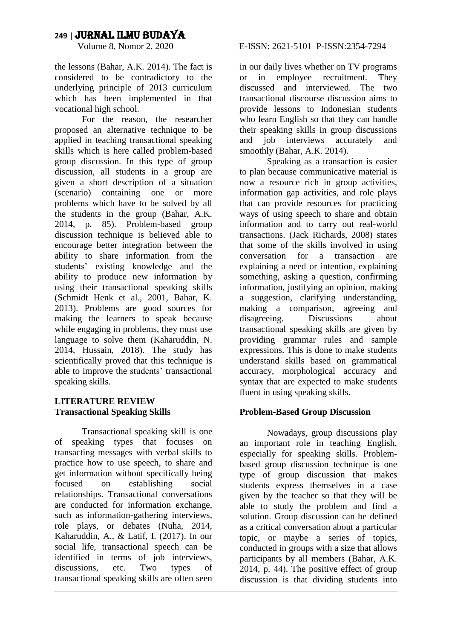the lessons (Bahar, A.K. 2014). The fact is considered to be contradictory to the underlying principle of 2013 curriculum which has been implemented in that vocational high school.

For the reason, the researcher proposed an alternative technique to be applied in teaching transactional speaking skills which is here called problem-based group discussion. In this type of group discussion, all students in a group are given a short description of a situation (scenario) containing one or more problems which have to be solved by all the students in the group (Bahar, A.K. 2014, p. 85). Problem-based group discussion technique is believed able to encourage better integration between the ability to share information from the students' existing knowledge and the ability to produce new information by using their transactional speaking skills (Schmidt Henk et al., 2001, Bahar, K. 2013). Problems are good sources for making the learners to speak because while engaging in problems, they must use language to solve them (Kaharuddin, N. 2014, Hussain, 2018). The study has scientifically proved that this technique is able to improve the students' transactional speaking skills.

#### **LITERATURE REVIEW Transactional Speaking Skills**

Transactional speaking skill is one of speaking types that focuses on transacting messages with verbal skills to practice how to use speech, to share and get information without specifically being focused on establishing social relationships. Transactional conversations are conducted for information exchange, such as information-gathering interviews, role plays, or debates (Nuha, 2014, Kaharuddin, A., & Latif, I. (2017). In our social life, transactional speech can be identified in terms of job interviews, discussions, etc. Two types of transactional speaking skills are often seen in our daily lives whether on TV programs or in employee recruitment. They discussed and interviewed. The two transactional discourse discussion aims to provide lessons to Indonesian students who learn English so that they can handle their speaking skills in group discussions and job interviews accurately and smoothly (Bahar, A.K. 2014).

Speaking as a transaction is easier to plan because communicative material is now a resource rich in group activities, information gap activities, and role plays that can provide resources for practicing ways of using speech to share and obtain information and to carry out real-world transactions. (Jack Richards, 2008) states that some of the skills involved in using conversation for a transaction are explaining a need or intention, explaining something, asking a question, confirming information, justifying an opinion, making a suggestion, clarifying understanding, making a comparison, agreeing and disagreeing. Discussions about transactional speaking skills are given by providing grammar rules and sample expressions. This is done to make students understand skills based on grammatical accuracy, morphological accuracy and syntax that are expected to make students fluent in using speaking skills.

#### **Problem-Based Group Discussion**

Nowadays, group discussions play an important role in teaching English, especially for speaking skills. Problembased group discussion technique is one type of group discussion that makes students express themselves in a case given by the teacher so that they will be able to study the problem and find a solution. Group discussion can be defined as a critical conversation about a particular topic, or maybe a series of topics, conducted in groups with a size that allows participants by all members (Bahar, A.K. 2014, p. 44). The positive effect of group discussion is that dividing students into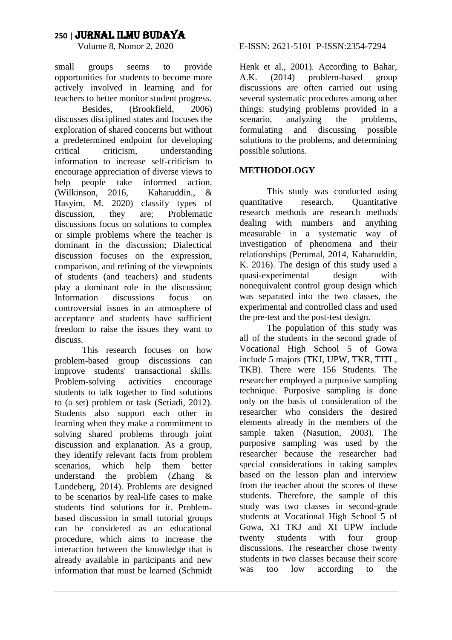small groups seems to provide opportunities for students to become more actively involved in learning and for teachers to better monitor student progress.

Besides, (Brookfield, 2006) discusses disciplined states and focuses the exploration of shared concerns but without a predetermined endpoint for developing critical criticism, understanding information to increase self-criticism to encourage appreciation of diverse views to help people take informed action. (Wilkinson, 2016, Kaharuddin., & Hasyim, M. 2020) classify types of discussion, they are; Problematic discussions focus on solutions to complex or simple problems where the teacher is dominant in the discussion; Dialectical discussion focuses on the expression, comparison, and refining of the viewpoints of students (and teachers) and students play a dominant role in the discussion; Information discussions focus on controversial issues in an atmosphere of acceptance and students have sufficient freedom to raise the issues they want to discuss.

This research focuses on how problem-based group discussions can improve students' transactional skills. Problem-solving activities encourage students to talk together to find solutions to (a set) problem or task (Setiadi, 2012). Students also support each other in learning when they make a commitment to solving shared problems through joint discussion and explanation. As a group, they identify relevant facts from problem scenarios, which help them better understand the problem (Zhang & Lundeberg, 2014). Problems are designed to be scenarios by real-life cases to make students find solutions for it. Problembased discussion in small tutorial groups can be considered as an educational procedure, which aims to increase the interaction between the knowledge that is already available in participants and new information that must be learned (Schmidt

#### E-ISSN: 2621-5101 P-ISSN: 2354-7294

Henk et al., 2001). According to Bahar, A.K. (2014) problem-based group discussions are often carried out using several systematic procedures among other things: studying problems provided in a scenario, analyzing the problems, formulating and discussing possible solutions to the problems, and determining possible solutions.

#### **METHODOLOGY**

This study was conducted using quantitative research. Quantitative research methods are research methods dealing with numbers and anything measurable in a systematic way of investigation of phenomena and their relationships (Perumal, 2014, Kaharuddin, K. 2016). The design of this study used a<br>quasi-experimental design with quasi-experimental design with nonequivalent control group design which was separated into the two classes, the experimental and controlled class and used the pre-test and the post-test design.

The population of this study was all of the students in the second grade of Vocational High School 5 of Gowa include 5 majors (TKJ, UPW, TKR, TITL, TKB). There were 156 Students. The researcher employed a purposive sampling technique. Purposive sampling is done only on the basis of consideration of the researcher who considers the desired elements already in the members of the sample taken (Nasution, 2003). The purposive sampling was used by the researcher because the researcher had special considerations in taking samples based on the lesson plan and interview from the teacher about the scores of these students. Therefore, the sample of this study was two classes in second-grade students at Vocational High School 5 of Gowa, XI TKJ and XI UPW include twenty students with four group discussions. The researcher chose twenty students in two classes because their score was too low according to the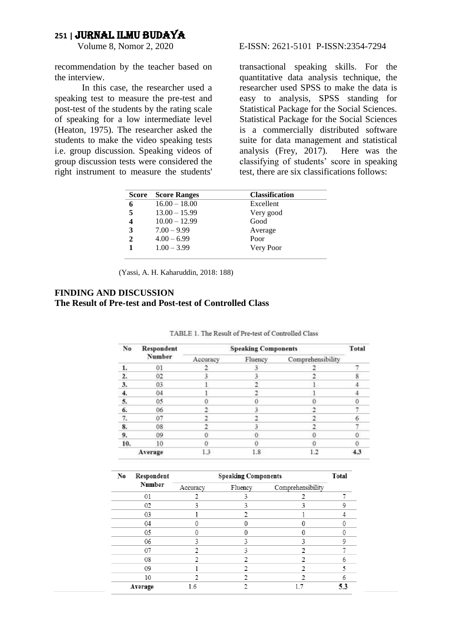recommendation by the teacher based on the interview.

In this case, the researcher used a speaking test to measure the pre-test and post-test of the students by the rating scale of speaking for a low intermediate level (Heaton, 1975). The researcher asked the students to make the video speaking tests i.e. group discussion. Speaking videos of group discussion tests were considered the right instrument to measure the students'

#### E-ISSN: 2621-5101 P-ISSN: 2354-7294

transactional speaking skills. For the quantitative data analysis technique, the researcher used SPSS to make the data is easy to analysis, SPSS standing for Statistical Package for the Social Sciences. Statistical Package for the Social Sciences is a commercially distributed software suite for data management and statistical analysis (Frey, 2017). Here was the classifying of students' score in speaking test, there are six classifications follows:

| <b>Score</b> | <b>Score Ranges</b> | <b>Classification</b> |
|--------------|---------------------|-----------------------|
| 6            | $16.00 - 18.00$     | Excellent             |
| 5            | $13.00 - 15.99$     | Very good             |
|              | $10.00 - 12.99$     | Good                  |
| 3            | $7.00 - 9.99$       | Average               |
| $\mathbf{2}$ | $4.00 - 6.99$       | Poor                  |
|              | $1.00 - 3.99$       | Very Poor             |
|              |                     |                       |

(Yassi, A. H. Kaharuddin, 2018: 188)

#### **FINDING AND DISCUSSION The Result of Pre-test and Post-test of Controlled Class**

| No               | Respondent<br>Number | <b>Speaking Components</b> |         |                   |     |
|------------------|----------------------|----------------------------|---------|-------------------|-----|
|                  |                      | Accuracy                   | Fluency | Comprehensibility |     |
| 1.               | $_{01}$              |                            |         |                   |     |
| $\overline{2}$ . | 02                   |                            |         |                   |     |
| 3.               | 03                   |                            |         |                   |     |
| 4.               | 04                   |                            |         |                   |     |
| 5.               | 05                   |                            |         | ō                 |     |
| 6.               | 06                   |                            |         |                   |     |
| 7.               | 07                   |                            |         |                   |     |
| 8.               | 08                   |                            |         |                   |     |
| 9.               | 09                   | o                          |         | 0                 |     |
| 10.              | 10                   | o                          |         | $\theta$          |     |
|                  | Average              | 1.3                        | 1.8     | 1.2               | 4.3 |

TABLE 1. The Result of Pre-test of Controlled Class

| No | Respondent<br>Number | <b>Speaking Components</b> |         |                   | Total |
|----|----------------------|----------------------------|---------|-------------------|-------|
|    |                      | Accuracy                   | Fluency | Comprehensibility |       |
|    | 01                   |                            | 3       |                   |       |
|    | 02                   | 3                          | 3       | 3                 | 9     |
|    | 03                   |                            |         |                   |       |
|    | 04                   |                            |         |                   |       |
|    | 05                   | O                          | 0       | 0                 |       |
|    | 06                   | 3                          | 3       | 3                 | 9     |
|    | 07                   |                            | 3       |                   |       |
|    | 08                   |                            |         |                   | 6     |
|    | 09                   |                            |         |                   | 5     |
|    | 10                   |                            |         |                   | 6     |
|    | Average              | 1.6                        |         |                   | 5.3   |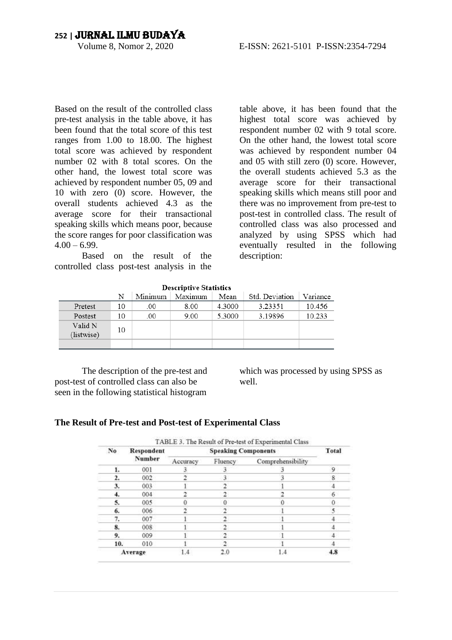Based on the result of the controlled class pre-test analysis in the table above, it has been found that the total score of this test ranges from 1.00 to 18.00. The highest total score was achieved by respondent number 02 with 8 total scores. On the other hand, the lowest total score was achieved by respondent number 05, 09 and 10 with zero (0) score. However, the overall students achieved 4.3 as the average score for their transactional speaking skills which means poor, because the score ranges for poor classification was  $4.00 - 6.99$ .

Based on the result of the controlled class post-test analysis in the table above, it has been found that the highest total score was achieved by respondent number 02 with 9 total score. On the other hand, the lowest total score was achieved by respondent number 04 and 05 with still zero (0) score. However, the overall students achieved 5.3 as the average score for their transactional speaking skills which means still poor and there was no improvement from pre-test to post-test in controlled class. The result of controlled class was also processed and analyzed by using SPSS which had eventually resulted in the following description:

|                       | N  | Minimum | Maximum | Mean   | Std. Deviation | Variance |
|-----------------------|----|---------|---------|--------|----------------|----------|
| Pretest               | 10 | .00     | 8.00    | 4.3000 | 3.23351        | 10.456   |
| Postest               | 10 | .00     | 9.00    | 5.3000 | 3.19896        | 10.233   |
| Valid N<br>(listwise) | 10 |         |         |        |                |          |
|                       |    |         |         |        |                |          |

**Descriptive Statistics** 

The description of the pre-test and post-test of controlled class can also be seen in the following statistical histogram

which was processed by using SPSS as well.

#### **The Result of Pre-test and Post-test of Experimental Class**

| No  | Respondent<br><b>Number</b> | <b>Speaking Components</b> |         |                   |   |
|-----|-----------------------------|----------------------------|---------|-------------------|---|
|     |                             | Accuracy                   | Fluency | Comprehensibility |   |
| 1.  | 001                         |                            |         |                   | 9 |
| 2.  | 002                         |                            |         |                   | 8 |
| 3.  | 003                         |                            |         |                   |   |
| 4.  | 004                         |                            |         |                   | 6 |
| 5.  | 005                         |                            |         |                   |   |
| 6.  | 006                         |                            |         |                   |   |
| 7.  | 007                         |                            |         |                   |   |
| 8.  | 008                         |                            |         |                   |   |
| 9.  | 009                         |                            |         |                   |   |
| 10. | 010                         |                            |         |                   |   |
|     | Average                     | 1.4                        | 2.0     | 1.4               |   |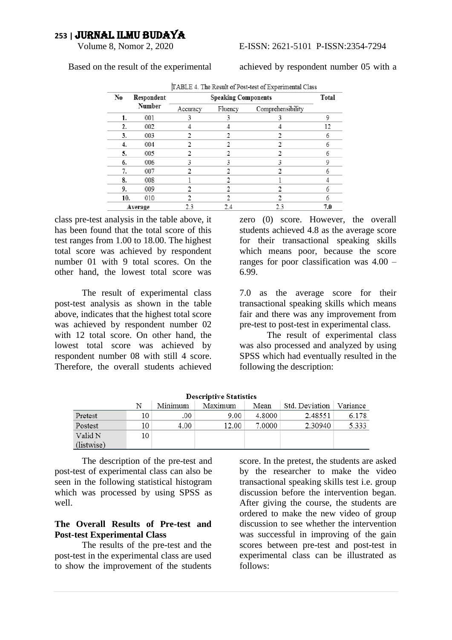#### E-ISSN: 2621-5101 P-ISSN: 2354-7294

Based on the result of the experimental

achieved by respondent number 05 with a

| [TABLE 4. The Result of Post-test of Experimental Class |                      |          |         |                   |     |  |
|---------------------------------------------------------|----------------------|----------|---------|-------------------|-----|--|
| No                                                      | Respondent<br>Number |          | Total   |                   |     |  |
|                                                         |                      | Accuracy | Fluency | Comprehensibility |     |  |
| 1.                                                      | 001                  | 3        | 3       | 3                 | 9   |  |
| 2.                                                      | 002                  |          |         |                   | 12  |  |
| 3.                                                      | 003                  |          |         |                   | 6   |  |
| 4.                                                      | 004                  |          |         |                   | 6   |  |
| 5.                                                      | 005                  | 2        |         |                   | 6   |  |
| 6.                                                      | 006                  | 3        | 3       | 3                 | 9   |  |
| 7.                                                      | 007                  |          |         |                   | 6   |  |
| 8.                                                      | 008                  |          |         |                   |     |  |
| 9.                                                      | 009                  | 2        |         |                   | 6   |  |
| 10.                                                     | 010                  |          |         |                   | 6   |  |
|                                                         | Average              | 2.3      | 2.4     | 23                | 7.0 |  |

class pre-test analysis in the table above, it has been found that the total score of this test ranges from 1.00 to 18.00. The highest total score was achieved by respondent number 01 with 9 total scores. On the other hand, the lowest total score was

The result of experimental class post-test analysis as shown in the table above, indicates that the highest total score was achieved by respondent number 02 with 12 total score. On other hand, the lowest total score was achieved by respondent number 08 with still 4 score. Therefore, the overall students achieved zero (0) score. However, the overall students achieved 4.8 as the average score for their transactional speaking skills which means poor, because the score ranges for poor classification was 4.00 – 6.99.

7.0 as the average score for their transactional speaking skills which means fair and there was any improvement from pre-test to post-test in experimental class.

The result of experimental class was also processed and analyzed by using SPSS which had eventually resulted in the following the description:

| Descriptive Statistics |    |         |         |        |                |          |  |
|------------------------|----|---------|---------|--------|----------------|----------|--|
|                        | N  | Minimum | Maximum | Mean   | Std. Deviation | Variance |  |
| Pretest                | 10 | .00     | 9.00    | 4.8000 | 2.48551        | 6.178    |  |
| Postest                | 10 | 4.00    | 12.00   | 7.0000 | 2.30940        | 5.333    |  |
| Valid N                | 10 |         |         |        |                |          |  |
| (listwise)             |    |         |         |        |                |          |  |

 $\cdot \cdot \cdot$ 

The description of the pre-test and post-test of experimental class can also be seen in the following statistical histogram which was processed by using SPSS as well.

#### **The Overall Results of Pre-test and Post-test Experimental Class**

The results of the pre-test and the post-test in the experimental class are used to show the improvement of the students

score. In the pretest, the students are asked by the researcher to make the video transactional speaking skills test i.e. group discussion before the intervention began. After giving the course, the students are ordered to make the new video of group discussion to see whether the intervention was successful in improving of the gain scores between pre-test and post-test in experimental class can be illustrated as follows: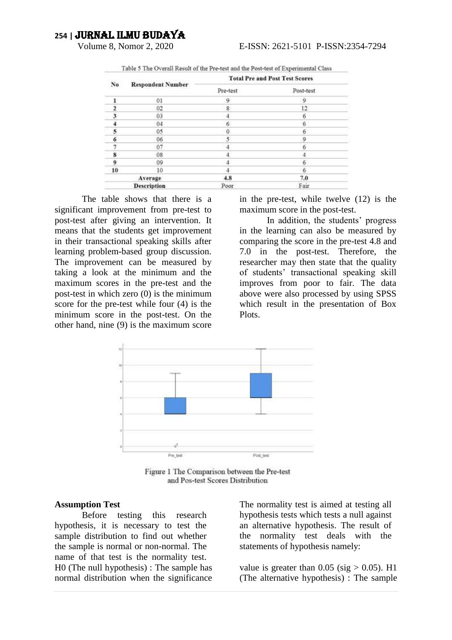|         |                          | <b>Total Pre and Post Test Scores</b> |           |  |
|---------|--------------------------|---------------------------------------|-----------|--|
| No      | <b>Respondent Number</b> | Pre-test                              | Post-test |  |
|         | 01                       | 9                                     | 9         |  |
|         | 02                       | 8                                     | 12        |  |
| 3       | 03                       |                                       | 6         |  |
|         | 04                       | 6                                     | 6         |  |
| 5       | 05                       | Ö.                                    | 6         |  |
| 6       | 06                       | 5                                     | 9         |  |
|         | 07                       | A                                     | 6         |  |
| 8       | 08                       |                                       | 4         |  |
| 9       | 09                       |                                       | 6         |  |
| 10      | 10                       |                                       | 6         |  |
| Average |                          | 4.8                                   | 7.0       |  |
|         | <b>Description</b>       | Poor                                  | Fair      |  |

Table 5 The Overall Result of the Pre-test and the Post-test of Experimental Class

The table shows that there is a significant improvement from pre-test to post-test after giving an intervention. It means that the students get improvement in their transactional speaking skills after learning problem-based group discussion. The improvement can be measured by taking a look at the minimum and the maximum scores in the pre-test and the post-test in which zero (0) is the minimum score for the pre-test while four (4) is the minimum score in the post-test. On the other hand, nine (9) is the maximum score

in the pre-test, while twelve (12) is the maximum score in the post-test.

In addition, the students' progress in the learning can also be measured by comparing the score in the pre-test 4.8 and 7.0 in the post-test. Therefore, the researcher may then state that the quality of students' transactional speaking skill improves from poor to fair. The data above were also processed by using SPSS which result in the presentation of Box Plots.



Figure 1 The Comparison between the Pre-test and Pos-test Scores Distribution

#### **Assumption Test**

Before testing this research hypothesis, it is necessary to test the sample distribution to find out whether the sample is normal or non-normal. The name of that test is the normality test. H0 (The null hypothesis) : The sample has normal distribution when the significance

The normality test is aimed at testing all hypothesis tests which tests a null against an alternative hypothesis. The result of the normality test deals with the statements of hypothesis namely:

value is greater than  $0.05$  (sig  $> 0.05$ ). H1 (The alternative hypothesis) : The sample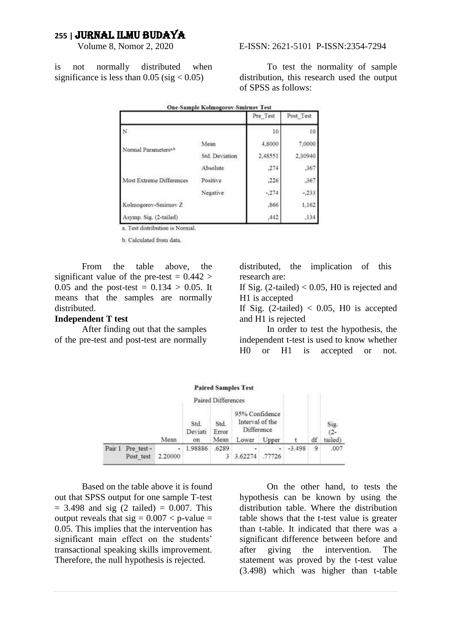is not normally distributed when significance is less than 0.05 (sig  $< 0.05$ )

|                                 | <b>One-Sample Kolmogorov-Smirnov Test</b> |          |           |
|---------------------------------|-------------------------------------------|----------|-----------|
|                                 |                                           | Pre Test | Post Test |
| N                               |                                           | 10       | 10        |
|                                 | Mean                                      | 4,8000   | 7,0000    |
| Normal Parameters <sup>ab</sup> | Std. Deviation                            | 2,48551  | 2,30940   |
|                                 | Absolute                                  | .274     | 367       |
| Most Extreme Differences        | Positive                                  | ,226     | , 367     |
|                                 | Negative                                  | $-274$   | $-.233$   |
| Kolmogorov-Smirnov Z            |                                           | .866     | 1.162     |
| Agymn Sip (2-tailed)            |                                           | 442      | 134       |

a. Test distribution is Normal.

**b** Calculated from data.

From the table above, the significant value of the pre-test  $= 0.442$ 0.05 and the post-test =  $0.134 > 0.05$ . It means that the samples are normally distributed.

#### **Independent T test**

After finding out that the samples of the pre-test and post-test are normally

distributed, the implication of this research are:

If Sig.  $(2$ -tailed) < 0.05, H0 is rejected and H1 is accepted

If Sig.  $(2$ -tailed) < 0.05, H0 is accepted and H1 is rejected

In order to test the hypothesis, the independent t-test is used to know whether H0 or H1 is accepted or not.



Based on the table above it is found out that SPSS output for one sample T-test  $= 3.498$  and sig (2 tailed)  $= 0.007$ . This output reveals that  $sig = 0.007 < p$ -value = 0.05. This implies that the intervention has significant main effect on the students' transactional speaking skills improvement. Therefore, the null hypothesis is rejected.

On the other hand, to tests the hypothesis can be known by using the distribution table. Where the distribution table shows that the t-test value is greater than t-table. It indicated that there was a significant difference between before and after giving the intervention. The statement was proved by the t-test value (3.498) which was higher than t-table

#### E-ISSN: 2621-5101 P-ISSN: 2354-7294

of SPSS as follows:

distribution, this research used the output

To test the normality of sample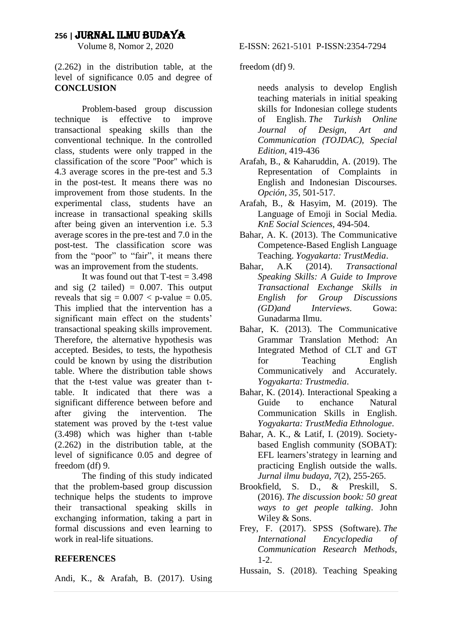(2.262) in the distribution table, at the level of significance 0.05 and degree of **CONCLUSION**

Problem-based group discussion technique is effective to improve transactional speaking skills than the conventional technique. In the controlled class, students were only trapped in the classification of the score "Poor" which is 4.3 average scores in the pre-test and 5.3 in the post-test. It means there was no improvement from those students. In the experimental class, students have an increase in transactional speaking skills after being given an intervention i.e. 5.3 average scores in the pre-test and 7.0 in the post-test. The classification score was from the "poor" to "fair", it means there was an improvement from the students.

It was found out that  $T-test = 3.498$ and sig  $(2 \text{ tailed}) = 0.007$ . This output reveals that  $sig = 0.007 < p$ -value = 0.05. This implied that the intervention has a significant main effect on the students' transactional speaking skills improvement. Therefore, the alternative hypothesis was accepted. Besides, to tests, the hypothesis could be known by using the distribution table. Where the distribution table shows that the t-test value was greater than ttable. It indicated that there was a significant difference between before and after giving the intervention. The statement was proved by the t-test value (3.498) which was higher than t-table (2.262) in the distribution table, at the level of significance 0.05 and degree of freedom (df) 9.

The finding of this study indicated that the problem-based group discussion technique helps the students to improve their transactional speaking skills in exchanging information, taking a part in formal discussions and even learning to work in real-life situations.

#### **REFERENCES**

Andi, K., & Arafah, B. (2017). Using

freedom (df) 9.

needs analysis to develop English teaching materials in initial speaking skills for Indonesian college students of English. *The Turkish Online Journal of Design, Art and Communication (TOJDAC), Special Edition*, 419-436

- Arafah, B., & Kaharuddin, A. (2019). The Representation of Complaints in English and Indonesian Discourses. *Opción*, *35*, 501-517.
- Arafah, B., & Hasyim, M. (2019). The Language of Emoji in Social Media. *KnE Social Sciences*, 494-504.
- Bahar, A. K. (2013). The Communicative Competence-Based English Language Teaching. *Yogyakarta: TrustMedia*.
- Bahar, A.K (2014). *Transactional Speaking Skills: A Guide to Improve Transactional Exchange Skills in English for Group Discussions (GD)and Interviews*. Gowa: Gunadarma Ilmu.
- Bahar, K. (2013). The Communicative Grammar Translation Method: An Integrated Method of CLT and GT for Teaching English Communicatively and Accurately. *Yogyakarta: Trustmedia*.
- Bahar, K. (2014). Interactional Speaking a Guide to enchance Natural Communication Skills in English. *Yogyakarta: TrustMedia Ethnologue*.
- Bahar, A. K., & Latif, I. (2019). Societybased English community (SOBAT): EFL learners'strategy in learning and practicing English outside the walls. *Jurnal ilmu budaya*, *7*(2), 255-265.
- Brookfield, S. D., & Preskill, S. (2016). *The discussion book: 50 great ways to get people talking*. John Wiley & Sons.
- Frey, F. (2017). SPSS (Software). *The International Encyclopedia of Communication Research Methods*,  $1 - 2$ .
- Hussain, S. (2018). Teaching Speaking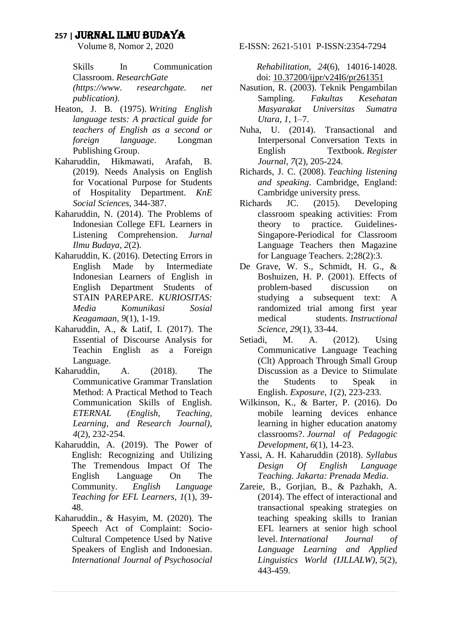Skills In Communication Classroom. *ResearchGate (https://www. researchgate. net publication)*.

- Heaton, J. B. (1975). *Writing English language tests: A practical guide for teachers of English as a second or foreign language*. Longman Publishing Group.
- Kaharuddin, Hikmawati, Arafah, B. (2019). Needs Analysis on English for Vocational Purpose for Students of Hospitality Department. *KnE Social Sciences*, 344-387.
- Kaharuddin, N. (2014). The Problems of Indonesian College EFL Learners in Listening Comprehension. *Jurnal Ilmu Budaya*, *2*(2).
- Kaharuddin, K. (2016). Detecting Errors in English Made by Intermediate Indonesian Learners of English in English Department Students of STAIN PAREPARE. *KURIOSITAS: Media Komunikasi Sosial Keagamaan*, *9*(1), 1-19.
- Kaharuddin, A., & Latif, I. (2017). The Essential of Discourse Analysis for Teachin English as a Foreign Language.
- Kaharuddin, A. (2018). The Communicative Grammar Translation Method: A Practical Method to Teach Communication Skills of English. *ETERNAL (English, Teaching, Learning, and Research Journal)*, *4*(2), 232-254.
- Kaharuddin, A. (2019). The Power of English: Recognizing and Utilizing The Tremendous Impact Of The English Language On The Community. *English Language Teaching for EFL Learners*, *1*(1), 39- 48.
- Kaharuddin., & Hasyim, M. (2020). The Speech Act of Complaint: Socio-Cultural Competence Used by Native Speakers of English and Indonesian. *International Journal of Psychosocial*

E-ISSN: 2621-5101 P-ISSN: 2354-7294

*Rehabilitation*, *24*(6), 14016-14028. doi: [10.37200/ijpr/v24I6/pr261351](https://doi.org/10.37200/IJPR/V24I6/PR261351)

- Nasution, R. (2003). Teknik Pengambilan Sampling. *Fakultas Kesehatan Masyarakat Universitas Sumatra Utara*, *1*, 1–7.
- Nuha, U. (2014). Transactional and Interpersonal Conversation Texts in English Textbook. *Register Journal*, *7*(2), 205-224.
- Richards, J. C. (2008). *Teaching listening and speaking*. Cambridge, England: Cambridge university press.
- Richards JC. (2015). Developing classroom speaking activities: From theory to practice. Guidelines-Singapore-Periodical for Classroom Language Teachers then Magazine for Language Teachers. 2;28(2):3.
- De Grave, W. S., Schmidt, H. G., & Boshuizen, H. P. (2001). Effects of problem-based discussion on studying a subsequent text: A randomized trial among first year medical students. *Instructional Science*, *29*(1), 33-44.
- Setiadi, M. A. (2012). Using Communicative Language Teaching (Clt) Approach Through Small Group Discussion as a Device to Stimulate the Students to Speak in English. *Exposure*, *1*(2), 223-233.
- Wilkinson, K., & Barter, P. (2016). Do mobile learning devices enhance learning in higher education anatomy classrooms?. *Journal of Pedagogic Development*, *6*(1), 14-23.
- Yassi, A. H. Kaharuddin (2018). *Syllabus Design Of English Language Teaching. Jakarta: Prenada Media*.
- Zareie, B., Gorjian, B., & Pazhakh, A. (2014). The effect of interactional and transactional speaking strategies on teaching speaking skills to Iranian EFL learners at senior high school level. *International Journal of Language Learning and Applied Linguistics World (IJLLALW)*, *5*(2), 443-459.